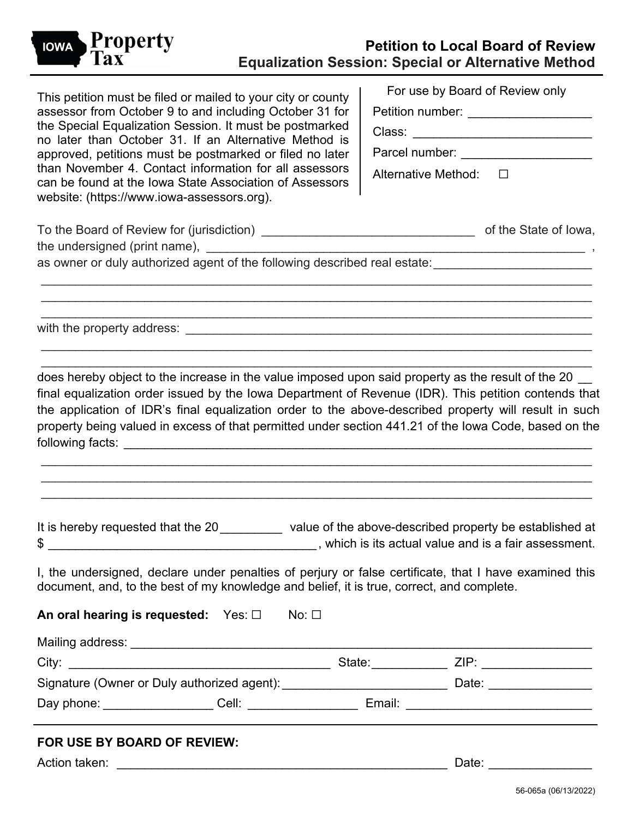

This petition must be filed or mailed to your city or county assessor from October 9 to and including October 31 for the Special Equalization Session. It must be postmarked no later than October 31. If an Alternative Method is approved, petitions must be postmarked or filed no later than November 4. Contact information for all assessors can be found at the Iowa State Association of Assessors website: [\(https://www.iowa-assessors.org\)](https://www.iowa-assessors.org/).

| For use by Board of Review only |  |
|---------------------------------|--|
| Petition number:                |  |
| Class:                          |  |
| Parcel number:                  |  |
| Alternative Method:             |  |
|                                 |  |

| To the Board of Review for (jurisdiction) | of the State of Iowa, |
|-------------------------------------------|-----------------------|
| the undersigned (print name),             |                       |

\_\_\_\_\_\_\_\_\_\_\_\_\_\_\_\_\_\_\_\_\_\_\_\_\_\_\_\_\_\_\_\_\_\_\_\_\_\_\_\_\_\_\_\_\_\_\_\_\_\_\_\_\_\_\_\_\_\_\_\_\_\_\_\_\_\_\_\_\_\_\_\_\_\_\_\_\_\_\_\_ \_\_\_\_\_\_\_\_\_\_\_\_\_\_\_\_\_\_\_\_\_\_\_\_\_\_\_\_\_\_\_\_\_\_\_\_\_\_\_\_\_\_\_\_\_\_\_\_\_\_\_\_\_\_\_\_\_\_\_\_\_\_\_\_\_\_\_\_\_\_\_\_\_\_\_\_\_\_\_\_ \_\_\_\_\_\_\_\_\_\_\_\_\_\_\_\_\_\_\_\_\_\_\_\_\_\_\_\_\_\_\_\_\_\_\_\_\_\_\_\_\_\_\_\_\_\_\_\_\_\_\_\_\_\_\_\_\_\_\_\_\_\_\_\_\_\_\_\_\_\_\_\_\_\_\_\_\_\_\_\_

\_\_\_\_\_\_\_\_\_\_\_\_\_\_\_\_\_\_\_\_\_\_\_\_\_\_\_\_\_\_\_\_\_\_\_\_\_\_\_\_\_\_\_\_\_\_\_\_\_\_\_\_\_\_\_\_\_\_\_\_\_\_\_\_\_\_\_\_\_\_\_\_\_\_\_\_\_\_\_\_ \_\_\_\_\_\_\_\_\_\_\_\_\_\_\_\_\_\_\_\_\_\_\_\_\_\_\_\_\_\_\_\_\_\_\_\_\_\_\_\_\_\_\_\_\_\_\_\_\_\_\_\_\_\_\_\_\_\_\_\_\_\_\_\_\_\_\_\_\_\_\_\_\_\_\_\_\_\_\_\_

as owner or duly authorized agent of the following described real estate: \_\_\_\_\_\_\_\_\_\_\_\_\_\_\_\_\_\_\_\_\_\_\_\_\_

with the property address:  $\blacksquare$ 

does hereby object to the increase in the value imposed upon said property as the result of the 20 final equalization order issued by the Iowa Department of Revenue (IDR). This petition contends that the application of IDR's final equalization order to the above-described property will result in such property being valued in excess of that permitted under section 441.21 of the Iowa Code, based on the following facts: **with the set of the set of the set of the set of the set of the set of the set of the set of the set of the set of the set of the set of the set of the set of the set of the set of the set of the set of t** 

\_\_\_\_\_\_\_\_\_\_\_\_\_\_\_\_\_\_\_\_\_\_\_\_\_\_\_\_\_\_\_\_\_\_\_\_\_\_\_\_\_\_\_\_\_\_\_\_\_\_\_\_\_\_\_\_\_\_\_\_\_\_\_\_\_\_\_\_\_\_\_\_\_\_\_\_\_\_\_\_ \_\_\_\_\_\_\_\_\_\_\_\_\_\_\_\_\_\_\_\_\_\_\_\_\_\_\_\_\_\_\_\_\_\_\_\_\_\_\_\_\_\_\_\_\_\_\_\_\_\_\_\_\_\_\_\_\_\_\_\_\_\_\_\_\_\_\_\_\_\_\_\_\_\_\_\_\_\_\_\_ \_\_\_\_\_\_\_\_\_\_\_\_\_\_\_\_\_\_\_\_\_\_\_\_\_\_\_\_\_\_\_\_\_\_\_\_\_\_\_\_\_\_\_\_\_\_\_\_\_\_\_\_\_\_\_\_\_\_\_\_\_\_\_\_\_\_\_\_\_\_\_\_\_\_\_\_\_\_\_\_

It is hereby requested that the 20\_\_\_\_\_\_\_\_\_ value of the above-described property be established at \$ \_\_\_\_\_\_\_\_\_\_\_\_\_\_\_\_\_\_\_\_\_\_\_\_\_\_\_\_\_\_\_\_\_\_\_\_\_\_\_, which is its actual value and is a fair assessment.

I, the undersigned, declare under penalties of perjury or false certificate, that I have examined this document, and, to the best of my knowledge and belief, it is true, correct, and complete.

**An oral hearing is requested:** Yes: □ No: □

Mailing address: \_\_\_\_\_\_\_\_\_\_\_\_\_\_\_\_\_\_\_\_\_\_\_\_\_\_\_\_\_\_\_\_\_\_\_\_\_\_\_\_\_\_\_\_\_\_\_\_\_\_\_\_\_\_\_\_\_\_\_\_\_\_\_\_\_\_\_ City: \_\_\_\_\_\_\_\_\_\_\_\_\_\_\_\_\_\_\_\_\_\_\_\_\_\_\_\_\_\_\_\_\_\_\_\_\_\_ State:\_\_\_\_\_\_\_\_\_\_\_ ZIP: \_\_\_\_\_\_\_\_\_\_\_\_\_\_\_\_ Signature (Owner or Duly authorized agent): \_\_\_\_\_\_\_\_\_\_\_\_\_\_\_\_\_\_\_\_\_\_\_\_\_\_\_\_\_\_\_\_\_\_\_Date: \_\_\_\_\_\_\_\_\_\_\_\_\_\_\_ Day phone: \_\_\_\_\_\_\_\_\_\_\_\_\_\_\_\_ Cell: \_\_\_\_\_\_\_\_\_\_\_\_\_\_\_\_ Email: \_\_\_\_\_\_\_\_\_\_\_\_\_\_\_\_\_\_\_\_\_\_\_\_\_\_\_

# **FOR USE BY BOARD OF REVIEW:**

Action taken: \_\_\_\_\_\_\_\_\_\_\_\_\_\_\_\_\_\_\_\_\_\_\_\_\_\_\_\_\_\_\_\_\_\_\_\_\_\_\_\_\_\_\_\_\_\_\_\_ Date: \_\_\_\_\_\_\_\_\_\_\_\_\_\_\_